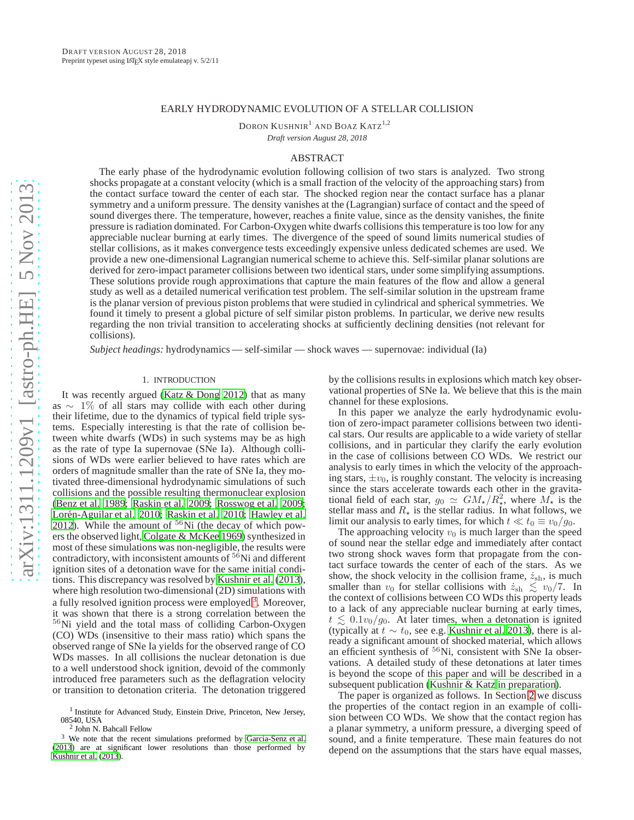### EARLY HYDRODYNAMIC EVOLUTION OF A STELLAR COLLISION

DORON KUSHNIR<sup>1</sup> AND BOAZ KATZ<sup>1,2</sup>

*Draft version August 28, 2018*

# ABSTRACT

The early phase of the hydrodynamic evolution following collision of two stars is analyzed. Two strong shocks propagate at a constant velocity (which is a small fraction of the velocity of the approaching stars) from the contact surface toward the center of each star. The shocked region near the contact surface has a planar symmetry and a uniform pressure. The density vanishes at the (Lagrangian) surface of contact and the speed of sound diverges there. The temperature, however, reaches a finite value, since as the density vanishes, the finite pressure is radiation dominated. For Carbon-Oxygen white dwarfs collisions this temperature is too low for any appreciable nuclear burning at early times. The divergence of the speed of sound limits numerical studies of stellar collisions, as it makes convergence tests exceedingly expensive unless dedicated schemes are used. We provide a new one-dimensional Lagrangian numerical scheme to achieve this. Self-similar planar solutions are derived for zero-impact parameter collisions between two identical stars, under some simplifying assumptions. These solutions provide rough approximations that capture the main features of the flow and allow a general study as well as a detailed numerical verification test problem. The self-similar solution in the upstream frame is the planar version of previous piston problems that were studied in cylindrical and spherical symmetries. We found it timely to present a global picture of self similar piston problems. In particular, we derive new results regarding the non trivial transition to accelerating shocks at sufficiently declining densities (not relevant for collisions).

*Subject headings:* hydrodynamics — self-similar — shock waves — supernovae: individual (Ia)

### 1. INTRODUCTION

It was recently argued [\(Katz & Dong 2012\)](#page-13-0) that as many as  $\sim$  1% of all stars may collide with each other during their lifetime, due to the dynamics of typical field triple systems. Especially interesting is that the rate of collision between white dwarfs (WDs) in such systems may be as high as the rate of type Ia supernovae (SNe Ia). Although collisions of WDs were earlier believed to have rates which are orders of magnitude smaller than the rate of SNe Ia, they motivated three-dimensional hydrodynamic simulations of such collisions and the possible resulting thermonuclear explosion [\(Benz et al. 1989;](#page-13-1) [Raskin et al. 2009](#page-13-2); [Rosswog et al. 2009;](#page-13-3) Lorén-Aguilar et al. 2010; [Raskin et al. 2010;](#page-13-5) [Hawley et al.](#page-13-6) [2012\)](#page-13-6). While the amount of  $56$ Ni (the decay of which powers the observed light, [Colgate & McKee 1969\)](#page-13-7) synthesized in most of these simulations was non-negligible, the results were contradictory, with inconsistent amounts of  $56$ Ni and different ignition sites of a detonation wave for the same initial conditions. This discrepancy was resolved by [Kushnir et al. \(2013\)](#page-13-8), where high resolution two-dimensional (2D) simulations with a fully resolved ignition process were employed <sup>[3](#page-0-0)</sup>. Moreover, it was shown that there is a strong correlation between the <sup>56</sup>Ni yield and the total mass of colliding Carbon-Oxygen (CO) WDs (insensitive to their mass ratio) which spans the observed range of SNe Ia yields for the observed range of CO WDs masses. In all collisions the nuclear detonation is due to a well understood shock ignition, devoid of the commonly introduced free parameters such as the deflagration velocity or transition to detonation criteria. The detonation triggered by the collisions results in explosions which match key observational properties of SNe Ia. We believe that this is the main channel for these explosions.

In this paper we analyze the early hydrodynamic evolution of zero-impact parameter collisions between two identical stars. Our results are applicable to a wide variety of stellar collisions, and in particular they clarify the early evolution in the case of collisions between CO WDs. We restrict our analysis to early times in which the velocity of the approaching stars,  $\pm v_0$ , is roughly constant. The velocity is increasing since the stars accelerate towards each other in the gravitational field of each star,  $g_0 \simeq GM_{\star}/R_{\star}^2$ , where  $M_{\star}$  is the stellar mass and  $R_{\star}$  is the stellar radius. In what follows, we limit our analysis to early times, for which  $t \ll t_0 \equiv v_0/g_0$ .

The approaching velocity  $v_0$  is much larger than the speed of sound near the stellar edge and immediately after contact two strong shock waves form that propagate from the contact surface towards the center of each of the stars. As we show, the shock velocity in the collision frame,  $\dot{z}_{\rm sh}$ , is much smaller than  $v_0$  for stellar collisions with  $\dot{z}_{\rm sh} \le v_0/7$ . In the context of collisions between CO WDs this property leads to a lack of any appreciable nuclear burning at early times,  $t \lesssim 0.1v_0/g_0$ . At later times, when a detonation is ignited (typically at  $t \sim t_0$ , see e.g. [Kushnir et al. 2013](#page-13-8)), there is already a significant amount of shocked material, which allows an efficient synthesis of  $56$ Ni, consistent with SNe Ia observations. A detailed study of these detonations at later times is beyond the scope of this paper and will be described in a subsequent publication [\(Kushnir & Katz in preparation\)](#page-13-10).

The paper is organized as follows. In Section [2](#page-1-0) we discuss the properties of the contact region in an example of collision between CO WDs. We show that the contact region has a planar symmetry, a uniform pressure, a diverging speed of sound, and a finite temperature. These main features do not depend on the assumptions that the stars have equal masses,

<sup>&</sup>lt;sup>1</sup> Institute for Advanced Study, Einstein Drive, Princeton, New Jersey, 08540, USA

<sup>2</sup> John N. Bahcall Fellow

<span id="page-0-0"></span> $3$  We note that the recent simulations preformed by García-Senz et al. [\(2013](#page-13-9)) are at significant lower resolutions than those performed by [Kushnir et al. \(2013](#page-13-8)).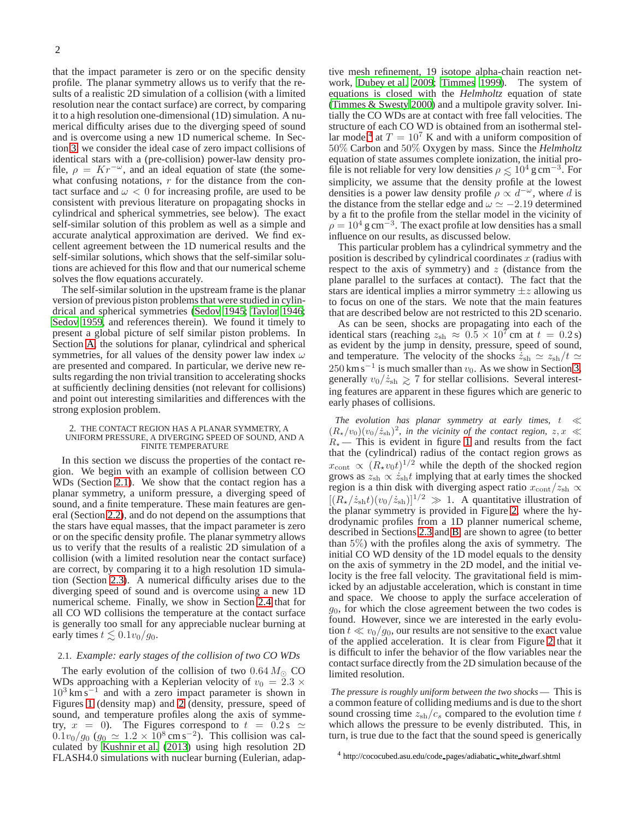that the impact parameter is zero or on the specific density profile. The planar symmetry allows us to verify that the results of a realistic 2D simulation of a collision (with a limited resolution near the contact surface) are correct, by comparing it to a high resolution one-dimensional (1D) simulation. A numerical difficulty arises due to the diverging speed of sound and is overcome using a new 1D numerical scheme. In Section [3,](#page-3-0) we consider the ideal case of zero impact collisions of identical stars with a (pre-collision) power-law density profile,  $\rho = Kr^{-\omega}$ , and an ideal equation of state (the somewhat confusing notations,  $r$  for the distance from the contact surface and  $\omega < 0$  for increasing profile, are used to be consistent with previous literature on propagating shocks in cylindrical and spherical symmetries, see below). The exact self-similar solution of this problem as well as a simple and accurate analytical approximation are derived. We find excellent agreement between the 1D numerical results and the self-similar solutions, which shows that the self-similar solutions are achieved for this flow and that our numerical scheme solves the flow equations accurately.

The self-similar solution in the upstream frame is the planar version of previous piston problems that were studied in cylindrical and spherical symmetries [\(Sedov 1945;](#page-13-11) [Taylor 1946;](#page-13-12) [Sedov 1959,](#page-13-13) and references therein). We found it timely to present a global picture of self similar piston problems. In Section [A,](#page-7-0) the solutions for planar, cylindrical and spherical symmetries, for all values of the density power law index  $\omega$ are presented and compared. In particular, we derive new results regarding the non trivial transition to accelerating shocks at sufficiently declining densities (not relevant for collisions) and point out interesting similarities and differences with the strong explosion problem.

#### <span id="page-1-0"></span>2. THE CONTACT REGION HAS A PLANAR SYMMETRY, A UNIFORM PRESSURE, A DIVERGING SPEED OF SOUND, AND A FINITE TEMPERATURE

In this section we discuss the properties of the contact region. We begin with an example of collision between CO WDs (Section [2.1\)](#page-1-1). We show that the contact region has a planar symmetry, a uniform pressure, a diverging speed of sound, and a finite temperature. These main features are general (Section [2.2\)](#page-2-0), and do not depend on the assumptions that the stars have equal masses, that the impact parameter is zero or on the specific density profile. The planar symmetry allows us to verify that the results of a realistic 2D simulation of a collision (with a limited resolution near the contact surface) are correct, by comparing it to a high resolution 1D simulation (Section [2.3\)](#page-3-1). A numerical difficulty arises due to the diverging speed of sound and is overcome using a new 1D numerical scheme. Finally, we show in Section [2.4](#page-3-2) that for all CO WD collisions the temperature at the contact surface is generally too small for any appreciable nuclear burning at early times  $t \lesssim 0.1v_0/g_0$ .

### <span id="page-1-1"></span>2.1. *Example: early stages of the collision of two CO WDs*

The early evolution of the collision of two  $0.64 M_{\odot}$  CO WDs approaching with a Keplerian velocity of  $v_0 = 2.3 \times$ 10<sup>3</sup> km s<sup>−1</sup> and with a zero impact parameter is shown in Figures [1](#page-2-1) (density map) and [2](#page-2-2) (density, pressure, speed of sound, and temperature profiles along the axis of symmetry,  $x = 0$ ). The Figures correspond to  $t = 0.2$  s  $\simeq$  $0.1v_0/g_0$  ( $g_0 \simeq 1.2 \times 10^8 \,\text{cm s}^{-2}$ ). This collision was calculated by [Kushnir et al. \(2013](#page-13-8)) using high resolution 2D FLASH4.0 simulations with nuclear burning (Eulerian, adap-

tive mesh refinement, 19 isotope alpha-chain reaction network, [Dubey et al. 2009;](#page-13-14) [Timmes 1999\)](#page-13-15). The system of equations is closed with the *Helmholtz* equation of state [\(Timmes & Swesty 2000](#page-13-16)) and a multipole gravity solver. Initially the CO WDs are at contact with free fall velocities. The structure of each CO WD is obtained from an isothermal stel-lar model<sup>[4](#page-1-2)</sup> at  $T = 10^7$  K and with a uniform composition of 50% Carbon and 50% Oxygen by mass. Since the *Helmholtz* equation of state assumes complete ionization, the initial profile is not reliable for very low densities  $\rho \lesssim 10^4$  g cm<sup>-3</sup>. For simplicity, we assume that the density profile at the lowest densities is a power law density profile  $\rho \propto d^{-\omega}$ , where d is the distance from the stellar edge and  $\omega \simeq -2.19$  determined by a fit to the profile from the stellar model in the vicinity of  $\rho = 10^4$  g cm<sup>-3</sup>. The exact profile at low densities has a small influence on our results, as discussed below.

This particular problem has a cylindrical symmetry and the position is described by cylindrical coordinates  $x$  (radius with respect to the axis of symmetry) and  $z$  (distance from the plane parallel to the surfaces at contact). The fact that the stars are identical implies a mirror symmetry  $\pm z$  allowing us to focus on one of the stars. We note that the main features that are described below are not restricted to this 2D scenario.

As can be seen, shocks are propagating into each of the identical stars (reaching  $z_{\rm sh} \approx 0.5 \times 10^7$  cm at  $t = 0.2$  s) as evident by the jump in density, pressure, speed of sound, and temperature. The velocity of the shocks  $\dot{z}_{\rm sh} \simeq z_{\rm sh}/t \simeq$  $250 \text{ km s}^{-1}$  is much smaller than  $v_0$ . As we show in Section [3,](#page-3-0) generally  $v_0/z_{\rm sh} \ge 7$  for stellar collisions. Several interesting features are apparent in these figures which are generic to early phases of collisions.

*The evolution has planar symmetry at early times,* t ≪  $(R_{\star}/v_0)(v_0/\dot{z}_{\rm sh})^2$ , in the vicinity of the contact region,  $z, x \ll$  $R_{\star}$  — This is evident in figure [1](#page-2-1) and results from the fact that the (cylindrical) radius of the contact region grows as  $x_{\text{cont}} \propto (R_{\star} v_0 t)^{1/2}$  while the depth of the shocked region grows as  $z_{\rm sh} \propto \dot{z}_{\rm sh} t$  implying that at early times the shocked region is a thin disk with diverging aspect ratio  $x_{\rm cont}/z_{\rm sh} \propto$  $[(R_{\star}/\dot{z}_{\rm sh}t)(v_0/\dot{z}_{\rm sh})]^{1/2} \gg 1$ . A quantitative illustration of the planar symmetry is provided in Figure [2,](#page-2-2) where the hydrodynamic profiles from a 1D planner numerical scheme, described in Sections [2.3](#page-3-1) and [B,](#page-11-0) are shown to agree (to better than 5%) with the profiles along the axis of symmetry. The initial CO WD density of the 1D model equals to the density on the axis of symmetry in the 2D model, and the initial velocity is the free fall velocity. The gravitational field is mimicked by an adjustable acceleration, which is constant in time and space. We choose to apply the surface acceleration of  $g<sub>0</sub>$ , for which the close agreement between the two codes is found. However, since we are interested in the early evolution  $t \ll v_0/g_0$ , our results are not sensitive to the exact value of the applied acceleration. It is clear from Figure [2](#page-2-2) that it is difficult to infer the behavior of the flow variables near the contact surface directly from the 2D simulation because of the limited resolution.

*The pressure is roughly uniform between the two shocks* — This is a common feature of colliding mediums and is due to the short sound crossing time  $z_{\rm sh}/c_s$  compared to the evolution time t which allows the pressure to be evenly distributed. This, in turn, is true due to the fact that the sound speed is generically

<span id="page-1-2"></span><sup>4</sup> http://cococubed.asu.edu/code pages/adiabatic white dwarf.shtml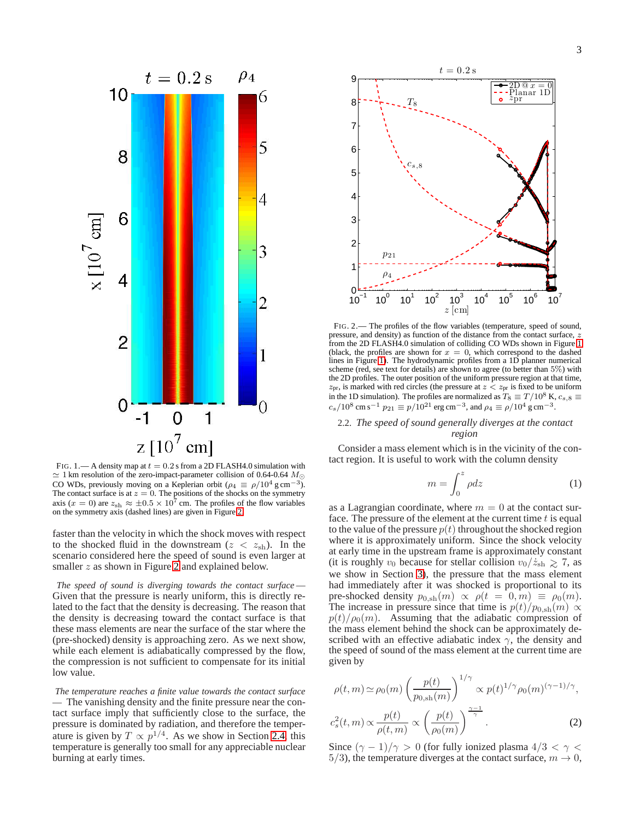

<span id="page-2-1"></span>FIG. 1.— A density map at  $t = 0.2$  s from a 2D FLASH4.0 simulation with  $\simeq$  1 km resolution of the zero-impact-parameter collision of 0.64-0.64  $M_{\odot}$ CO WDs, previously moving on a Keplerian orbit ( $\rho_4 \equiv \rho/10^4$  g cm<sup>-3</sup>). The contact surface is at  $z = 0$ . The positions of the shocks on the symmetry axis ( $x = 0$ ) are  $z_{\text{sh}} \approx \pm 0.5 \times 10^7$  cm. The profiles of the flow variables on the symmetry axis (dashed lines) are given in Figure [2.](#page-2-2)

faster than the velocity in which the shock moves with respect to the shocked fluid in the downstream ( $z < z_{\rm sh}$ ). In the scenario considered here the speed of sound is even larger at smaller z as shown in Figure [2](#page-2-2) and explained below.

*The speed of sound is diverging towards the contact surface* — Given that the pressure is nearly uniform, this is directly related to the fact that the density is decreasing. The reason that the density is decreasing toward the contact surface is that these mass elements are near the surface of the star where the (pre-shocked) density is approaching zero. As we next show, while each element is adiabatically compressed by the flow, the compression is not sufficient to compensate for its initial low value.

*The temperature reaches a finite value towards the contact surface* — The vanishing density and the finite pressure near the contact surface imply that sufficiently close to the surface, the pressure is dominated by radiation, and therefore the temperature is given by  $T \propto p^{1/4}$ . As we show in Section [2.4,](#page-3-2) this temperature is generally too small for any appreciable nuclear burning at early times.



<span id="page-2-2"></span>FIG. 2.— The profiles of the flow variables (temperature, speed of sound, pressure, and density) as function of the distance from the contact surface, z from the 2D FLASH4.0 simulation of colliding CO WDs shown in Figure [1](#page-2-1) (black, the profiles are shown for  $x = 0$ , which correspond to the dashed lines in Figure [1\)](#page-2-1). The hydrodynamic profiles from a 1D planner numerical scheme (red, see text for details) are shown to agree (to better than 5%) with the 2D profiles. The outer position of the uniform pressure region at that time,  $z_{\text{pr}}$ , is marked with red circles (the pressure at  $z < z_{\text{pr}}$  is fixed to be uniform in the 1D simulation). The profiles are normalized as  $T_8\equiv T/10^8$  K,  $c_{s,8}\equiv$  $c_s/10^8$  cm s<sup>-1</sup>  $p_{21} \equiv p/10^{21}$  erg cm<sup>-3</sup>, and  $\rho_4 \equiv \rho/10^4$  g cm<sup>-3</sup>.

# <span id="page-2-0"></span>2.2. *The speed of sound generally diverges at the contact region*

Consider a mass element which is in the vicinity of the contact region. It is useful to work with the column density

$$
m = \int_0^z \rho dz \tag{1}
$$

as a Lagrangian coordinate, where  $m = 0$  at the contact surface. The pressure of the element at the current time  $t$  is equal to the value of the pressure  $p(t)$  throughout the shocked region where it is approximately uniform. Since the shock velocity at early time in the upstream frame is approximately constant (it is roughly  $v_0$  because for stellar collision  $v_0/z_{\rm sh} \gtrsim 7$ , as we show in Section [3\)](#page-3-0), the pressure that the mass element had immediately after it was shocked is proportional to its pre-shocked density  $p_{0,sh}(m) \propto \rho(t = 0, m) \equiv \rho_0(m)$ . The increase in pressure since that time is  $p(t)/p_{0,\text{sh}}(m) \propto$  $p(t)/\rho_0(m)$ . Assuming that the adiabatic compression of the mass element behind the shock can be approximately described with an effective adiabatic index  $\gamma$ , the density and the speed of sound of the mass element at the current time are given by

<span id="page-2-3"></span>
$$
\rho(t,m) \simeq \rho_0(m) \left(\frac{p(t)}{p_{0,\text{sh}}(m)}\right)^{1/\gamma} \propto p(t)^{1/\gamma} \rho_0(m)^{(\gamma-1)/\gamma},
$$
  

$$
c_s^2(t,m) \propto \frac{p(t)}{\rho(t,m)} \propto \left(\frac{p(t)}{\rho_0(m)}\right)^{\frac{\gamma-1}{\gamma}}.
$$
 (2)

Since  $(\gamma - 1)/\gamma > 0$  (for fully ionized plasma  $4/3 < \gamma <$ 5/3), the temperature diverges at the contact surface,  $m \to 0$ ,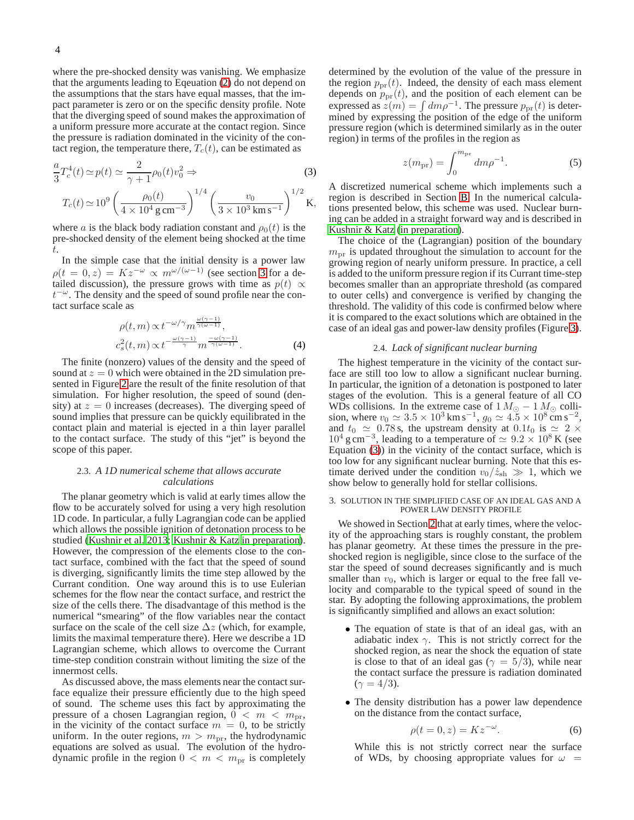where the pre-shocked density was vanishing. We emphasize that the arguments leading to Eqeuation [\(2\)](#page-2-3) do not depend on the assumptions that the stars have equal masses, that the impact parameter is zero or on the specific density profile. Note that the diverging speed of sound makes the approximation of a uniform pressure more accurate at the contact region. Since the pressure is radiation dominated in the vicinity of the contact region, the temperature there,  $T_c(t)$ , can be estimated as

<span id="page-3-3"></span>
$$
\frac{a}{3}T_c^4(t) \simeq p(t) \simeq \frac{2}{\gamma + 1} \rho_0(t) v_0^2 \Rightarrow \qquad (3)
$$
  

$$
T_c(t) \simeq 10^9 \left(\frac{\rho_0(t)}{4 \times 10^4 \text{ g cm}^{-3}}\right)^{1/4} \left(\frac{v_0}{3 \times 10^3 \text{ km s}^{-1}}\right)^{1/2} \text{K},
$$

where a is the black body radiation constant and  $\rho_0(t)$  is the pre-shocked density of the element being shocked at the time t.

In the simple case that the initial density is a power law  $\rho(t = 0, z) = Kz^{-\omega} \propto m^{\omega/(\omega - 1)}$  (see section [3](#page-3-0) for a detailed discussion), the pressure grows with time as  $p(t) \propto$  $t^{-\omega}$ . The density and the speed of sound profile near the contact surface scale as

<span id="page-3-4"></span>
$$
\rho(t, m) \propto t^{-\omega/\gamma} m^{\frac{\omega(\gamma - 1)}{\gamma(\omega - 1)}},
$$
  

$$
c_s^2(t, m) \propto t^{-\frac{\omega(\gamma - 1)}{\gamma}} m^{\frac{-\omega(\gamma - 1)}{\gamma(\omega - 1)}}.
$$
 (4)

The finite (nonzero) values of the density and the speed of sound at  $z = 0$  which were obtained in the 2D simulation presented in Figure [2](#page-2-2) are the result of the finite resolution of that simulation. For higher resolution, the speed of sound (density) at  $z = 0$  increases (decreases). The diverging speed of sound implies that pressure can be quickly equilibrated in the contact plain and material is ejected in a thin layer parallel to the contact surface. The study of this "jet" is beyond the scope of this paper.

# <span id="page-3-1"></span>2.3. *A 1D numerical scheme that allows accurate calculations*

The planar geometry which is valid at early times allow the flow to be accurately solved for using a very high resolution 1D code. In particular, a fully Lagrangian code can be applied which allows the possible ignition of detonation process to be studied [\(Kushnir et al. 2013;](#page-13-8) [Kushnir & Katz in preparation\)](#page-13-10). However, the compression of the elements close to the contact surface, combined with the fact that the speed of sound is diverging, significantly limits the time step allowed by the Currant condition. One way around this is to use Eulerian schemes for the flow near the contact surface, and restrict the size of the cells there. The disadvantage of this method is the numerical "smearing" of the flow variables near the contact surface on the scale of the cell size  $\Delta z$  (which, for example, limits the maximal temperature there). Here we describe a 1D Lagrangian scheme, which allows to overcome the Currant time-step condition constrain without limiting the size of the innermost cells.

As discussed above, the mass elements near the contact surface equalize their pressure efficiently due to the high speed of sound. The scheme uses this fact by approximating the pressure of a chosen Lagrangian region,  $0 < m < m_{\text{pr}},$ in the vicinity of the contact surface  $m = 0$ , to be strictly uniform. In the outer regions,  $m > m_{\text{pr}}$ , the hydrodynamic equations are solved as usual. The evolution of the hydrodynamic profile in the region  $0 < m < m_{\text{pr}}$  is completely

determined by the evolution of the value of the pressure in the region  $p_{\text{pr}}(t)$ . Indeed, the density of each mass element depends on  $p_{\text{pr}}(t)$ , and the position of each element can be expressed as  $z(m) = \int dm \rho^{-1}$ . The pressure  $p_{pr}(t)$  is determined by expressing the position of the edge of the uniform pressure region (which is determined similarly as in the outer region) in terms of the profiles in the region as

$$
z(m_{\rm pr}) = \int_0^{m_{\rm pr}} dm \rho^{-1}.
$$
 (5)

A discretized numerical scheme which implements such a region is described in Section [B.](#page-11-0) In the numerical calculations presented below, this scheme was used. Nuclear burning can be added in a straight forward way and is described in [Kushnir & Katz \(in preparation\)](#page-13-10).

The choice of the (Lagrangian) position of the boundary  $m_{\text{pr}}$  is updated throughout the simulation to account for the growing region of nearly uniform pressure. In practice, a cell is added to the uniform pressure region if its Currant time-step becomes smaller than an appropriate threshold (as compared to outer cells) and convergence is verified by changing the threshold. The validity of this code is confirmed below where it is compared to the exact solutions which are obtained in the case of an ideal gas and power-law density profiles (Figure [3\)](#page-5-0).

# 2.4. *Lack of significant nuclear burning*

<span id="page-3-2"></span>The highest temperature in the vicinity of the contact surface are still too low to allow a significant nuclear burning. In particular, the ignition of a detonation is postponed to later stages of the evolution. This is a general feature of all CO WDs collisions. In the extreme case of  $1 M_{\odot} - 1 M_{\odot}$  collision, where  $v_0 \simeq 3.5 \times 10^3 \,\mathrm{km \, s^{-1}}$ ,  $g_0 \simeq 4.5 \times 10^8 \,\mathrm{cm \, s^{-2}}$ , and  $t_0 \approx 0.78$  s, the upstream density at  $0.1t_0$  is  $\simeq 2 \times$  $10^4$  g cm<sup>-3</sup>, leading to a temperature of  $\simeq 9.2 \times 10^8$  K (see Equation [\(3\)](#page-3-3)) in the vicinity of the contact surface, which is too low for any significant nuclear burning. Note that this estimate derived under the condition  $v_0/\dot{z}_{\rm sh} \gg 1$ , which we show below to generally hold for stellar collisions.

#### <span id="page-3-0"></span>3. SOLUTION IN THE SIMPLIFIED CASE OF AN IDEAL GAS AND A POWER LAW DENSITY PROFILE

We showed in Section [2](#page-1-0) that at early times, where the velocity of the approaching stars is roughly constant, the problem has planar geometry. At these times the pressure in the preshocked region is negligible, since close to the surface of the star the speed of sound decreases significantly and is much smaller than  $v_0$ , which is larger or equal to the free fall velocity and comparable to the typical speed of sound in the star. By adopting the following approximations, the problem is significantly simplified and allows an exact solution:

- The equation of state is that of an ideal gas, with an adiabatic index  $\gamma$ . This is not strictly correct for the shocked region, as near the shock the equation of state is close to that of an ideal gas ( $\gamma = 5/3$ ), while near the contact surface the pressure is radiation dominated  $(\gamma = 4/3).$
- The density distribution has a power law dependence on the distance from the contact surface,

$$
\rho(t=0,z) = Kz^{-\omega}.\tag{6}
$$

While this is not strictly correct near the surface of WDs, by choosing appropriate values for  $\omega =$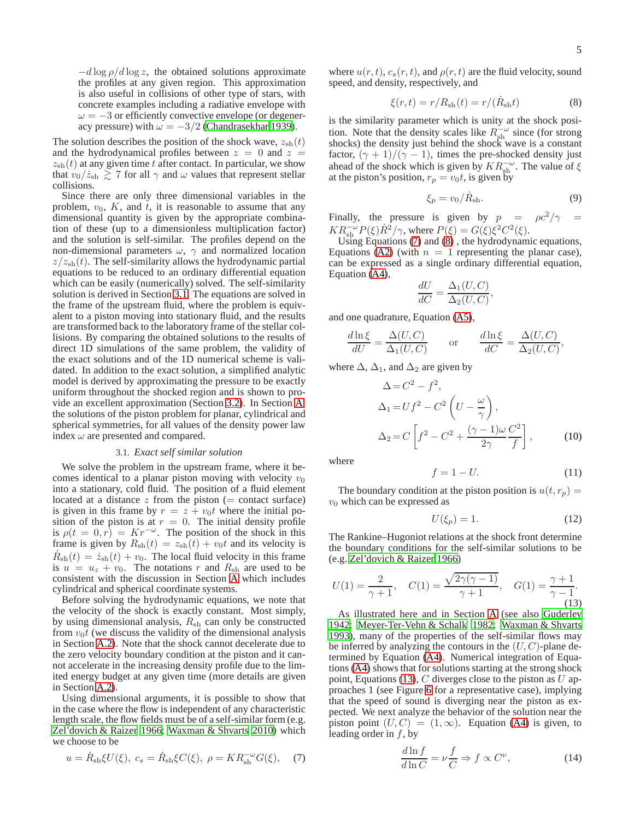$-d \log \rho / d \log z$ , the obtained solutions approximate the profiles at any given region. This approximation is also useful in collisions of other type of stars, with concrete examples including a radiative envelope with  $\omega = -3$  or efficiently convective envelope (or degeneracy pressure) with  $\omega = -3/2$  [\(Chandrasekhar 1939\)](#page-13-17).

The solution describes the position of the shock wave,  $z_{\rm sh}(t)$ and the hydrodynamical profiles between  $z = 0$  and  $z =$  $z_{\rm sh}(t)$  at any given time t after contact. In particular, we show that  $v_0/\dot{z}_{\rm sh} \gtrsim 7$  for all  $\gamma$  and  $\omega$  values that represent stellar collisions.

Since there are only three dimensional variables in the problem,  $v_0$ , K, and t, it is reasonable to assume that any dimensional quantity is given by the appropriate combination of these (up to a dimensionless multiplication factor) and the solution is self-similar. The profiles depend on the non-dimensional parameters  $\omega$ ,  $\gamma$  and normalized location  $z/z_{\rm sh}(t)$ . The self-similarity allows the hydrodynamic partial equations to be reduced to an ordinary differential equation which can be easily (numerically) solved. The self-similarity solution is derived in Section [3.1.](#page-4-0) The equations are solved in the frame of the upstream fluid, where the problem is equivalent to a piston moving into stationary fluid, and the results are transformed back to the laboratory frame of the stellar collisions. By comparing the obtained solutions to the results of direct 1D simulations of the same problem, the validity of the exact solutions and of the 1D numerical scheme is validated. In addition to the exact solution, a simplified analytic model is derived by approximating the pressure to be exactly uniform throughout the shocked region and is shown to provide an excellent approximation (Section [3.2\)](#page-6-0). In Section [A,](#page-7-0) the solutions of the piston problem for planar, cylindrical and spherical symmetries, for all values of the density power law index  $\omega$  are presented and compared.

#### 3.1. *Exact self similar solution*

<span id="page-4-0"></span>We solve the problem in the upstream frame, where it becomes identical to a planar piston moving with velocity  $v_0$ into a stationary, cold fluid. The position of a fluid element located at a distance  $z$  from the piston (= contact surface) is given in this frame by  $r = z + v_0t$  where the initial position of the piston is at  $r = 0$ . The initial density profile is  $\rho(t = 0, r) = Kr^{-\omega}$ . The position of the shock in this frame is given by  $R_{\text{sh}}(t) = z_{\text{sh}}(t) + v_0 t$  and its velocity is  $\dot{R}_{\rm sh}(t) = \dot{z}_{\rm sh}(t) + v_0$ . The local fluid velocity in this frame is  $u = u_z + v_0$ . The notations r and  $R_{\rm sh}$  are used to be consistent with the discussion in Section [A](#page-7-0) which includes cylindrical and spherical coordinate systems.

Before solving the hydrodynamic equations, we note that the velocity of the shock is exactly constant. Most simply, by using dimensional analysis,  $R_{\rm sh}$  can only be constructed from  $v_0t$  (we discuss the validity of the dimensional analysis in Section [A.2\)](#page-7-1). Note that the shock cannot decelerate due to the zero velocity boundary condition at the piston and it cannot accelerate in the increasing density profile due to the limited energy budget at any given time (more details are given in Section [A.2\)](#page-7-1).

Using dimensional arguments, it is possible to show that in the case where the flow is independent of any characteristic length scale, the flow fields must be of a self-similar form (e.g. [Zel'dovich & Raizer 1966](#page-13-18); [Waxman & Shvarts 2010\)](#page-13-19) which we choose to be

<span id="page-4-1"></span>
$$
u = \dot{R}_{sh} \xi U(\xi), \ c_s = \dot{R}_{sh} \xi C(\xi), \ \rho = K R_{sh}^{-\omega} G(\xi), \quad (7)
$$

where  $u(r, t)$ ,  $c_s(r, t)$ , and  $\rho(r, t)$  are the fluid velocity, sound speed, and density, respectively, and

<span id="page-4-2"></span>
$$
\xi(r,t) = r/R_{\rm sh}(t) = r/(\dot{R}_{\rm sh}t)
$$
\n(8)

is the similarity parameter which is unity at the shock position. Note that the density scales like  $R_{\rm sh}^{\rm -\omega}$  since (for strong shocks) the density just behind the shock wave is a constant factor,  $(\gamma + 1)/(\gamma - 1)$ , times the pre-shocked density just ahead of the shock which is given by  $KR_{\text{sh}}^{-\omega}$ . The value of  $\xi$ at the piston's position,  $r_p = v_0 t$ , is given by

$$
\xi_p = v_0 / \dot{R}_{\rm sh}.\tag{9}
$$

Finally, the pressure is given by  $p = \rho c^2/\gamma =$  $KR_{\text{sh}}^{-\omega}P(\xi)\dot{R}^2/\gamma$ , where  $P(\xi) = G(\xi)\xi^2C^2(\xi)$ .

Using Equations  $(7)$  and  $(8)$ , the hydrodynamic equations, Equations [\(A2\)](#page-7-2) (with  $n = 1$  representing the planar case), can be expressed as a single ordinary differential equation, Equation [\(A4\)](#page-7-3),

$$
\frac{dU}{dC} = \frac{\Delta_1(U, C)}{\Delta_2(U, C)},
$$

and one quadrature, Equation [\(A5\)](#page-7-4),

$$
\frac{d\ln\xi}{dU} = \frac{\Delta(U, C)}{\Delta_1(U, C)} \quad \text{or} \quad \frac{d\ln\xi}{dC} = \frac{\Delta(U, C)}{\Delta_2(U, C)},
$$

where  $\Delta$ ,  $\Delta_1$ , and  $\Delta_2$  are given by

$$
\Delta = C^2 - f^2,
$$
  
\n
$$
\Delta_1 = Uf^2 - C^2 \left( U - \frac{\omega}{\gamma} \right),
$$
  
\n
$$
\Delta_2 = C \left[ f^2 - C^2 + \frac{(\gamma - 1)\omega C^2}{2\gamma} \right],
$$
\n(10)

where

$$
f = 1 - U.\tag{11}
$$

The boundary condition at the piston position is  $u(t, r_p) =$  $v_0$  which can be expressed as

$$
U(\xi_p) = 1.
$$
 (12)

The Rankine–Hugoniot relations at the shock front determine the boundary conditions for the self-similar solutions to be (e.g. [Zel'dovich & Raizer 1966\)](#page-13-18)

<span id="page-4-3"></span>
$$
U(1) = \frac{2}{\gamma + 1}, \quad C(1) = \frac{\sqrt{2\gamma(\gamma - 1)}}{\gamma + 1}, \quad G(1) = \frac{\gamma + 1}{\gamma - 1}.
$$
\n(13)

As illustrated here and in Section [A](#page-7-0) (see also [Guderley](#page-13-20) [1942;](#page-13-20) [Meyer-Ter-Vehn & Schalk 1982;](#page-13-21) [Waxman & Shvarts](#page-13-22) [1993\)](#page-13-22), many of the properties of the self-similar flows may be inferred by analyzing the contours in the  $(U, C)$ -plane determined by Equation [\(A4\)](#page-7-3). Numerical integration of Equations [\(A4\)](#page-7-3) shows that for solutions starting at the strong shock point, Equations [\(13\)](#page-4-3),  $C$  diverges close to the piston as  $U$  approaches 1 (see Figure [6](#page-9-0) for a representative case), implying that the speed of sound is diverging near the piston as expected. We next analyze the behavior of the solution near the piston point  $(U, C) = (1, \infty)$ . Equation [\(A4\)](#page-7-3) is given, to leading order in  $f$ , by

<span id="page-4-4"></span>
$$
\frac{d\ln f}{d\ln C} = \nu \frac{f}{C} \Rightarrow f \propto C^{\nu},\tag{14}
$$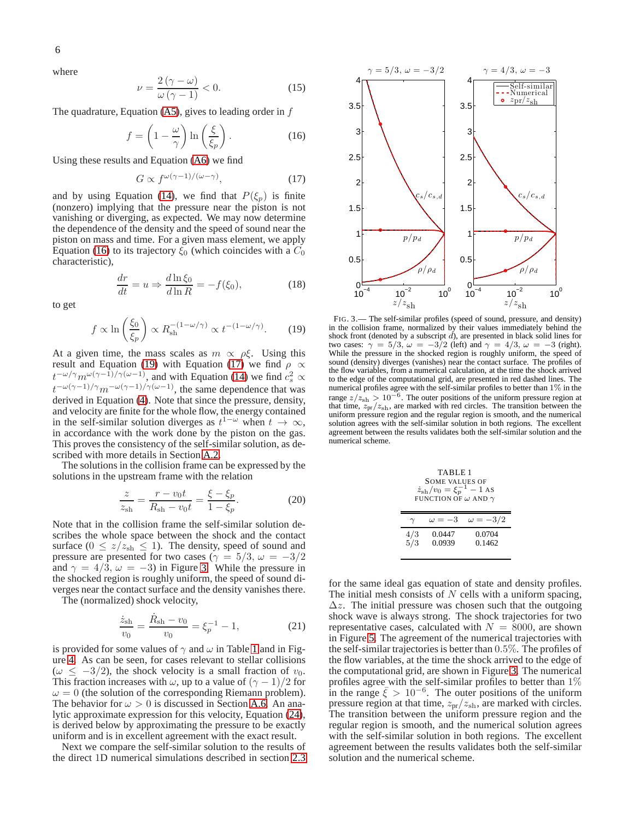where

$$
\nu = \frac{2(\gamma - \omega)}{\omega(\gamma - 1)} < 0. \tag{15}
$$

The quadrature, Equation  $(A5)$ , gives to leading order in f

<span id="page-5-1"></span>
$$
f = \left(1 - \frac{\omega}{\gamma}\right) \ln\left(\frac{\xi}{\xi_p}\right). \tag{16}
$$

Using these results and Equation [\(A6\)](#page-7-5) we find

<span id="page-5-3"></span>
$$
G \propto f^{\omega(\gamma - 1)/(\omega - \gamma)},\tag{17}
$$

and by using Equation [\(14\)](#page-4-4), we find that  $P(\xi_p)$  is finite (nonzero) implying that the pressure near the piston is not vanishing or diverging, as expected. We may now determine the dependence of the density and the speed of sound near the piston on mass and time. For a given mass element, we apply Equation [\(16\)](#page-5-1) to its trajectory  $\xi_0$  (which coincides with a  $C_0$ characteristic),

<span id="page-5-5"></span>
$$
\frac{dr}{dt} = u \Rightarrow \frac{d\ln \xi_0}{d\ln R} = -f(\xi_0),\tag{18}
$$

to get

<span id="page-5-2"></span>
$$
f \propto \ln\left(\frac{\xi_0}{\xi_p}\right) \propto R_{\rm sh}^{-(1-\omega/\gamma)} \propto t^{-(1-\omega/\gamma)}.\tag{19}
$$

At a given time, the mass scales as  $m \propto \rho \xi$ . Using this result and Equation [\(19\)](#page-5-2) with Equation [\(17\)](#page-5-3) we find  $\rho \propto$  $t^{-\omega/\gamma} m^{\omega(\gamma-1)/\gamma(\omega-1)}$ , and with Equation [\(14\)](#page-4-4) we find  $c_s^2 \propto$  $t^{-\omega(\gamma-1)/\gamma}m^{-\omega(\gamma-1)/\gamma(\omega-1)}$ , the same dependence that was derived in Equation [\(4\)](#page-3-4). Note that since the pressure, density, and velocity are finite for the whole flow, the energy contained in the self-similar solution diverges as  $t^{1-\omega}$  when  $t \to \infty$ , in accordance with the work done by the piston on the gas. This proves the consistency of the self-similar solution, as described with more details in Section [A.2.](#page-7-1)

The solutions in the collision frame can be expressed by the solutions in the upstream frame with the relation

$$
\frac{z}{z_{\rm sh}} = \frac{r - v_0 t}{R_{\rm sh} - v_0 t} = \frac{\xi - \xi_p}{1 - \xi_p}.
$$
 (20)

Note that in the collision frame the self-similar solution describes the whole space between the shock and the contact surface ( $0 \le z/z_{\rm sh} \le 1$ ). The density, speed of sound and pressure are presented for two cases ( $\gamma = 5/3, \omega = -3/2$ and  $\gamma = 4/3$ ,  $\omega = -3$ ) in Figure [3.](#page-5-0) While the pressure in the shocked region is roughly uniform, the speed of sound diverges near the contact surface and the density vanishes there.

The (normalized) shock velocity,

$$
\frac{\dot{z}_{\text{sh}}}{v_0} = \frac{\dot{R}_{\text{sh}} - v_0}{v_0} = \xi_p^{-1} - 1,\tag{21}
$$

is provided for some values of  $\gamma$  and  $\omega$  in Table [1](#page-5-4) and in Figure [4.](#page-6-1) As can be seen, for cases relevant to stellar collisions ( $\omega \leq -3/2$ ), the shock velocity is a small fraction of  $v_0$ . This fraction increases with  $\omega$ , up to a value of  $(\gamma - 1)/2$  for  $\omega = 0$  (the solution of the corresponding Riemann problem). The behavior for  $\omega > 0$  is discussed in Section [A.6.](#page-11-1) An analytic approximate expression for this velocity, Equation [\(24\)](#page-6-2), is derived below by approximating the pressure to be exactly uniform and is in excellent agreement with the exact result.

Next we compare the self-similar solution to the results of the direct 1D numerical simulations described in section [2.3](#page-3-1)



<span id="page-5-0"></span>FIG. 3.— The self-similar profiles (speed of sound, pressure, and density) in the collision frame, normalized by their values immediately behind the shock front (denoted by a subscript  $\vec{d}$ ), are presented in black solid lines for two cases:  $\gamma = 5/3$ ,  $\omega = -3/2$  (left) and  $\gamma = 4/3$ ,  $\omega = -3$  (right). While the pressure in the shocked region is roughly uniform, the speed of sound (density) diverges (vanishes) near the contact surface. The profiles of the flow variables, from a numerical calculation, at the time the shock arrived to the edge of the computational grid, are presented in red dashed lines. The numerical profiles agree with the self-similar profiles to better than 1% in the range  $z/z_{\rm sh} > 10^{-6}$ . The outer positions of the uniform pressure region at that time,  $z_{\rm pr}/z_{\rm sh}$ , are marked with red circles. The transition between the uniform pressure region and the regular region is smooth, and the numerical solution agrees with the self-similar solution in both regions. The excellent agreement between the results validates both the self-similar solution and the numerical scheme.

<span id="page-5-4"></span>

|  | TABLE 1<br><b>SOME VALUES OF</b>           |        |                               |
|--|--------------------------------------------|--------|-------------------------------|
|  |                                            |        |                               |
|  | $\dot{z}_{\rm sh}/v_0 = \xi_p^{-1} - 1$ AS |        |                               |
|  | FUNCTION OF $\omega$ AND $\gamma$          |        |                               |
|  |                                            |        |                               |
|  |                                            |        | $\omega = -3$ $\omega = -3/2$ |
|  | 4/3                                        | 0.0447 | 0.0704                        |

5/3 0.0939 0.1462

for the same ideal gas equation of state and density profiles. The initial mesh consists of  $N$  cells with a uniform spacing,  $\Delta z$ . The initial pressure was chosen such that the outgoing shock wave is always strong. The shock trajectories for two representative cases, calculated with  $N = 8000$ , are shown in Figure [5.](#page-6-3) The agreement of the numerical trajectories with the self-similar trajectories is better than 0.5%. The profiles of the flow variables, at the time the shock arrived to the edge of the computational grid, are shown in Figure [3.](#page-5-0) The numerical profiles agree with the self-similar profiles to better than 1% in the range  $\bar{\xi} > 10^{-6}$ . The outer positions of the uniform pressure region at that time,  $z_{pr}/z_{sh}$ , are marked with circles. The transition between the uniform pressure region and the regular region is smooth, and the numerical solution agrees with the self-similar solution in both regions. The excellent agreement between the results validates both the self-similar solution and the numerical scheme.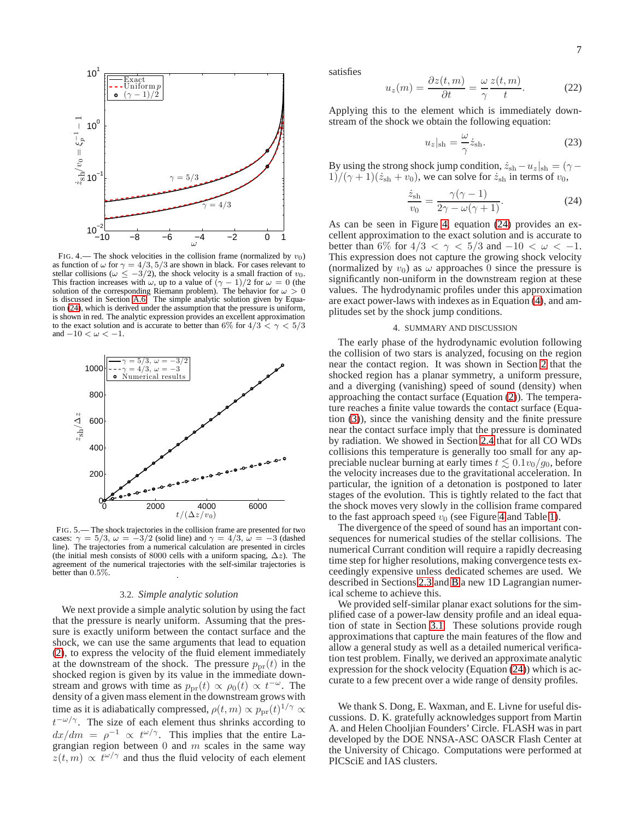

<span id="page-6-1"></span>FIG. 4.— The shock velocities in the collision frame (normalized by  $v_0$ ) as function of  $\omega$  for  $\gamma = 4/3, 5/3$  are shown in black. For cases relevant to stellar collisions ( $\omega \le -3/2$ ), the shock velocity is a small fraction of  $v_0$ . This fraction increases with  $\omega$ , up to a value of  $(\gamma - 1)/2$  for  $\omega = 0$  (the solution of the corresponding Riemann problem). The behavior for  $\omega > 0$ is discussed in Section [A.6.](#page-11-1) The simple analytic solution given by Equation [\(24\)](#page-6-2), which is derived under the assumption that the pressure is uniform, is shown in red. The analytic expression provides an excellent approximation to the exact solution and is accurate to better than 6% for  $4/3 < \gamma < 5/3$ and  $-10 < \omega < -1$ .



<span id="page-6-3"></span>FIG. 5.— The shock trajectories in the collision frame are presented for two cases:  $\gamma = 5/3$ ,  $\omega = -3/2$  (solid line) and  $\gamma = 4/3$ ,  $\omega = -3$  (dashed line). The trajectories from a numerical calculation are presented in circles (the initial mesh consists of 8000 cells with a uniform spacing,  $\Delta z$ ). The agreement of the numerical trajectories with the self-similar trajectories is better than 0.5%. .

#### 3.2. *Simple analytic solution*

<span id="page-6-0"></span>We next provide a simple analytic solution by using the fact that the pressure is nearly uniform. Assuming that the pressure is exactly uniform between the contact surface and the shock, we can use the same arguments that lead to equation [\(2\)](#page-2-3), to express the velocity of the fluid element immediately at the downstream of the shock. The pressure  $p_{\text{pr}}(t)$  in the shocked region is given by its value in the immediate downstream and grows with time as  $p_{\text{pr}}(t) \propto \rho_0(t) \propto t^{-\omega}$ . The density of a given mass element in the downstream grows with time as it is adiabatically compressed,  $\rho(t,m) \propto p_{\text{pr}}(t)^{1/\gamma} \propto$  $t^{-\omega/\gamma}$ . The size of each element thus shrinks according to  $dx/dm = \rho^{-1} \propto t^{\omega/\gamma}$ . This implies that the entire Lagrangian region between  $0$  and  $m$  scales in the same way  $z(t, m) \propto t^{\omega/\gamma}$  and thus the fluid velocity of each element

satisfies

$$
u_z(m) = \frac{\partial z(t, m)}{\partial t} = \frac{\omega}{\gamma} \frac{z(t, m)}{t}.
$$
 (22)

Applying this to the element which is immediately downstream of the shock we obtain the following equation:

$$
u_z|_{\rm sh} = \frac{\omega}{\gamma} \dot{z}_{\rm sh}.
$$
 (23)

By using the strong shock jump condition,  $\dot{z}_{\rm sh}-u_z|_{\rm sh} = (\gamma 1)/(\gamma + 1)(\dot{z}_{\rm sh} + v_0)$ , we can solve for  $\dot{z}_{\rm sh}$  in terms of  $v_0$ ,

<span id="page-6-2"></span>
$$
\frac{\dot{z}_{\text{sh}}}{v_0} = \frac{\gamma(\gamma - 1)}{2\gamma - \omega(\gamma + 1)}.\tag{24}
$$

As can be seen in Figure [4,](#page-6-1) equation [\(24\)](#page-6-2) provides an excellent approximation to the exact solution and is accurate to better than 6% for  $4/3 < \gamma < 5/3$  and  $-10 < \omega < -1$ . This expression does not capture the growing shock velocity (normalized by  $v_0$ ) as  $\omega$  approaches 0 since the pressure is significantly non-uniform in the downstream region at these values. The hydrodynamic profiles under this approximation are exact power-laws with indexes as in Equation [\(4\)](#page-3-4), and amplitudes set by the shock jump conditions.

### 4. SUMMARY AND DISCUSSION

The early phase of the hydrodynamic evolution following the collision of two stars is analyzed, focusing on the region near the contact region. It was shown in Section [2](#page-1-0) that the shocked region has a planar symmetry, a uniform pressure, and a diverging (vanishing) speed of sound (density) when approaching the contact surface (Equation [\(2\)](#page-2-3)). The temperature reaches a finite value towards the contact surface (Equation [\(3\)](#page-3-3)), since the vanishing density and the finite pressure near the contact surface imply that the pressure is dominated by radiation. We showed in Section  $2.\bar{4}$  that for all CO WDs collisions this temperature is generally too small for any appreciable nuclear burning at early times  $t \lesssim 0.1v_0/g_0$ , before the velocity increases due to the gravitational acceleration. In particular, the ignition of a detonation is postponed to later stages of the evolution. This is tightly related to the fact that the shock moves very slowly in the collision frame compared to the fast approach speed  $v_0$  (see Figure [4](#page-6-1) and Table [1\)](#page-5-4).

The divergence of the speed of sound has an important consequences for numerical studies of the stellar collisions. The numerical Currant condition will require a rapidly decreasing time step for higher resolutions, making convergence tests exceedingly expensive unless dedicated schemes are used. We described in Sections [2.3](#page-3-1) and [B](#page-11-0) a new 1D Lagrangian numerical scheme to achieve this.

We provided self-similar planar exact solutions for the simplified case of a power-law density profile and an ideal equation of state in Section [3.1.](#page-4-0) These solutions provide rough approximations that capture the main features of the flow and allow a general study as well as a detailed numerical verification test problem. Finally, we derived an approximate analytic expression for the shock velocity (Equation [\(24\)](#page-6-2)) which is accurate to a few precent over a wide range of density profiles.

We thank S. Dong, E. Waxman, and E. Livne for useful discussions. D. K. gratefully acknowledges support from Martin A. and Helen Chooljian Founders' Circle. FLASH was in part developed by the DOE NNSA-ASC OASCR Flash Center at the University of Chicago. Computations were performed at PICSciE and IAS clusters.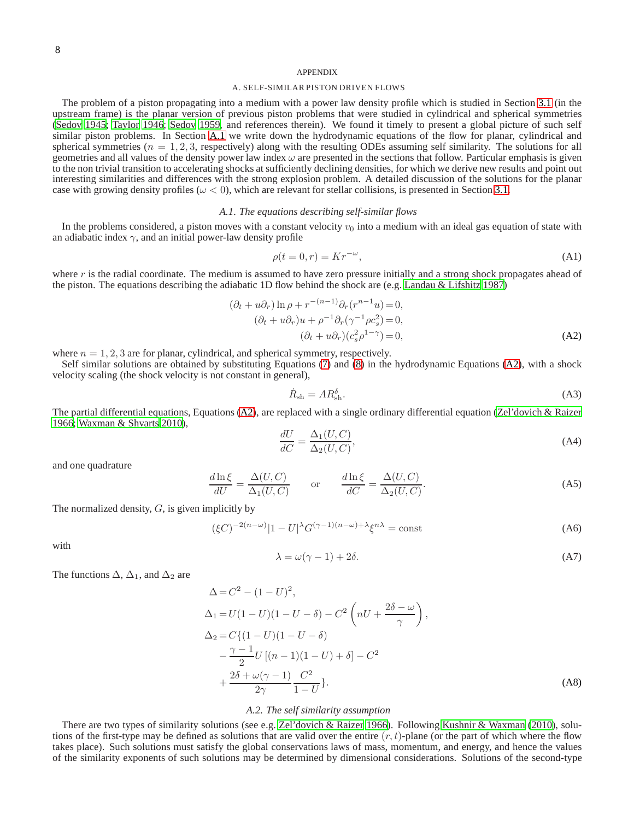### APPENDIX

### A. SELF-SIMILAR PISTON DRIVEN FLOWS

<span id="page-7-0"></span>The problem of a piston propagating into a medium with a power law density profile which is studied in Section [3.1](#page-4-0) (in the upstream frame) is the planar version of previous piston problems that were studied in cylindrical and spherical symmetries [\(Sedov 1945](#page-13-11); [Taylor 1946;](#page-13-12) [Sedov 1959,](#page-13-13) and references therein). We found it timely to present a global picture of such self similar piston problems. In Section [A.1](#page-7-6) we write down the hydrodynamic equations of the flow for planar, cylindrical and spherical symmetries ( $n = 1, 2, 3$ , respectively) along with the resulting ODEs assuming self similarity. The solutions for all geometries and all values of the density power law index  $\omega$  are presented in the sections that follow. Particular emphasis is given to the non trivial transition to accelerating shocks at sufficiently declining densities, for which we derive new results and point out interesting similarities and differences with the strong explosion problem. A detailed discussion of the solutions for the planar case with growing density profiles ( $\omega < 0$ ), which are relevant for stellar collisions, is presented in Section [3.1.](#page-4-0)

## *A.1. The equations describing self-similar flows*

<span id="page-7-6"></span>In the problems considered, a piston moves with a constant velocity  $v_0$  into a medium with an ideal gas equation of state with an adiabatic index  $\gamma$ , and an initial power-law density profile

$$
\rho(t=0,r) = Kr^{-\omega},\tag{A1}
$$

where  $r$  is the radial coordinate. The medium is assumed to have zero pressure initially and a strong shock propagates ahead of the piston. The equations describing the adiabatic 1D flow behind the shock are (e.g. [Landau & Lifshitz 1987\)](#page-13-23)

<span id="page-7-2"></span>
$$
(\partial_t + u\partial_r)\ln \rho + r^{-(n-1)}\partial_r(r^{n-1}u) = 0,
$$
  
\n
$$
(\partial_t + u\partial_r)u + \rho^{-1}\partial_r(\gamma^{-1}\rho c_s^2) = 0,
$$
  
\n
$$
(\partial_t + u\partial_r)(c_s^2\rho^{1-\gamma}) = 0,
$$
\n(A2)

where  $n = 1, 2, 3$  are for planar, cylindrical, and spherical symmetry, respectively.

Self similar solutions are obtained by substituting Equations [\(7\)](#page-4-1) and [\(8\)](#page-4-2) in the hydrodynamic Equations [\(A2\)](#page-7-2), with a shock velocity scaling (the shock velocity is not constant in general),

$$
\dot{R}_{\rm sh} = AR_{\rm sh}^{\delta}.
$$
\n(A3)

The partial differential equations, Equations [\(A2\)](#page-7-2), are replaced with a single ordinary differential equation [\(Zel'dovich & Raizer](#page-13-18) [1966;](#page-13-18) [Waxman & Shvarts 2010\)](#page-13-19),

<span id="page-7-3"></span>
$$
\frac{dU}{dC} = \frac{\Delta_1(U, C)}{\Delta_2(U, C)},\tag{A4}
$$

and one quadrature

<span id="page-7-4"></span>
$$
\frac{d\ln\xi}{dU} = \frac{\Delta(U, C)}{\Delta_1(U, C)} \quad \text{or} \quad \frac{d\ln\xi}{dC} = \frac{\Delta(U, C)}{\Delta_2(U, C)}.
$$
\n(A5)

The normalized density,  $G$ , is given implicitly by

<span id="page-7-5"></span>
$$
(\xi C)^{-2(n-\omega)}|1-U|^{\lambda}G^{(\gamma-1)(n-\omega)+\lambda}\xi^{n\lambda} = \text{const}
$$
 (A6)

with

$$
\lambda = \omega(\gamma - 1) + 2\delta. \tag{A7}
$$

The functions 
$$
\Delta
$$
,  $\Delta_1$ , and  $\Delta_2$  are

$$
\Delta = C^2 - (1 - U)^2,
$$
  
\n
$$
\Delta_1 = U(1 - U)(1 - U - \delta) - C^2 \left(nU + \frac{2\delta - \omega}{\gamma}\right),
$$
  
\n
$$
\Delta_2 = C\{(1 - U)(1 - U - \delta) - \frac{\gamma - 1}{2}U[(n - 1)(1 - U) + \delta] - C^2 + \frac{2\delta + \omega(\gamma - 1)}{2\gamma} \frac{C^2}{1 - U}\}.
$$
\n(A8)

# *A.2. The self similarity assumption*

<span id="page-7-1"></span>There are two types of similarity solutions (see e.g. [Zel'dovich & Raizer 1966](#page-13-18)). Following [Kushnir & Waxman \(2010\)](#page-13-24), solutions of the first-type may be defined as solutions that are valid over the entire  $(r, t)$ -plane (or the part of which where the flow takes place). Such solutions must satisfy the global conservations laws of mass, momentum, and energy, and hence the values of the similarity exponents of such solutions may be determined by dimensional considerations. Solutions of the second-type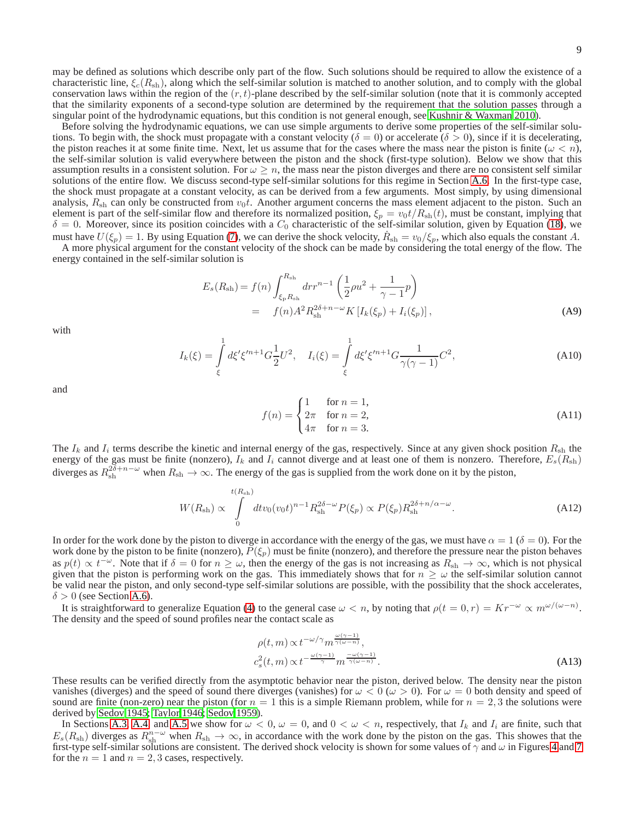may be defined as solutions which describe only part of the flow. Such solutions should be required to allow the existence of a characteristic line,  $\xi_c(R_{sh})$ , along which the self-similar solution is matched to another solution, and to comply with the global conservation laws within the region of the  $(r, t)$ -plane described by the self-similar solution (note that it is commonly accepted that the similarity exponents of a second-type solution are determined by the requirement that the solution passes through a singular point of the hydrodynamic equations, but this condition is not general enough, see [Kushnir & Waxman 2010\)](#page-13-24).

Before solving the hydrodynamic equations, we can use simple arguments to derive some properties of the self-similar solutions. To begin with, the shock must propagate with a constant velocity ( $\delta = 0$ ) or accelerate ( $\delta > 0$ ), since if it is decelerating, the piston reaches it at some finite time. Next, let us assume that for the cases where the mass near the piston is finite  $(\omega < n)$ , the self-similar solution is valid everywhere between the piston and the shock (first-type solution). Below we show that this assumption results in a consistent solution. For  $\omega \geq n$ , the mass near the piston diverges and there are no consistent self similar solutions of the entire flow. We discuss second-type self-similar solutions for this regime in Section [A.6.](#page-11-1) In the first-type case, the shock must propagate at a constant velocity, as can be derived from a few arguments. Most simply, by using dimensional analysis,  $R_{sh}$  can only be constructed from  $v_0t$ . Another argument concerns the mass element adjacent to the piston. Such an element is part of the self-similar flow and therefore its normalized position,  $\xi_p = v_0 t/R_{sh}(t)$ , must be constant, implying that  $\delta = 0$ . Moreover, since its position coincides with a  $C_0$  characteristic of the self-similar solution, given by Equation [\(18\)](#page-5-5), we must have  $U(\xi_p) = 1$ . By using Equation [\(7\)](#page-4-1), we can derive the shock velocity,  $\dot{R}_{sh} = v_0/\xi_p$ , which also equals the constant A.

A more physical argument for the constant velocity of the shock can be made by considering the total energy of the flow. The energy contained in the self-similar solution is

$$
E_s(R_{\rm sh}) = f(n) \int_{\xi_{\rm p} R_{\rm sh}}^{R_{\rm sh}} dr r^{n-1} \left( \frac{1}{2} \rho u^2 + \frac{1}{\gamma - 1} p \right)
$$
  
=  $f(n) A^2 R_{\rm sh}^{2\delta + n - \omega} K \left[ I_k(\xi_p) + I_i(\xi_p) \right],$  (A9)

with

$$
I_k(\xi) = \int_{\xi}^1 d\xi' \xi'^{n+1} G \frac{1}{2} U^2, \quad I_i(\xi) = \int_{\xi}^1 d\xi' \xi'^{n+1} G \frac{1}{\gamma(\gamma - 1)} C^2,
$$
\n(A10)

and

$$
f(n) = \begin{cases} 1 & \text{for } n = 1, \\ 2\pi & \text{for } n = 2, \\ 4\pi & \text{for } n = 3. \end{cases} \tag{A11}
$$

The  $I_k$  and  $I_i$  terms describe the kinetic and internal energy of the gas, respectively. Since at any given shock position  $R_{sh}$  the energy of the gas must be finite (nonzero),  $I_k$  and  $I_i$  cannot diverge and at least one of them is nonzero. Therefore,  $E_s(R_{sh})$ diverges as  $R_{\rm sh}^{2\delta+n-\omega}$  when  $R_{\rm sh}\to\infty$ . The energy of the gas is supplied from the work done on it by the piston,

$$
W(R_{\rm sh}) \propto \int\limits_{0}^{t(R_{\rm sh})} dt v_0 (v_0 t)^{n-1} R_{\rm sh}^{2\delta - \omega} P(\xi_p) \propto P(\xi_p) R_{\rm sh}^{2\delta + n/\alpha - \omega}.
$$
 (A12)

In order for the work done by the piston to diverge in accordance with the energy of the gas, we must have  $\alpha = 1$  ( $\delta = 0$ ). For the work done by the piston to be finite (nonzero),  $P(\xi_p)$  must be finite (nonzero), and therefore the pressure near the piston behaves as  $p(t) \propto t^{-\omega}$ . Note that if  $\delta = 0$  for  $n \geq \omega$ , then the energy of the gas is not increasing as  $R_{\rm sh} \to \infty$ , which is not physical given that the piston is performing work on the gas. This immediately shows that for  $n \geq \omega$  the self-similar solution cannot be valid near the piston, and only second-type self-similar solutions are possible, with the possibility that the shock accelerates,  $\delta > 0$  (see Section [A.6\)](#page-11-1).

It is straightforward to generalize Equation [\(4\)](#page-3-4) to the general case  $\omega < n$ , by noting that  $\rho(t = 0, r) = Kr^{-\omega} \propto m^{\omega/(\omega - n)}$ . The density and the speed of sound profiles near the contact scale as

$$
\rho(t,m) \propto t^{-\omega/\gamma} m^{\frac{\omega(\gamma-1)}{\gamma(\omega-n)}},
$$
  

$$
c_s^2(t,m) \propto t^{-\frac{\omega(\gamma-1)}{\gamma}} m^{\frac{-\omega(\gamma-1)}{\gamma(\omega-n)}}.
$$
 (A13)

These results can be verified directly from the asymptotic behavior near the piston, derived below. The density near the piston vanishes (diverges) and the speed of sound there diverges (vanishes) for  $\omega < 0 \ (\omega > 0)$ . For  $\omega = 0$  both density and speed of sound are finite (non-zero) near the piston (for  $n = 1$  this is a simple Riemann problem, while for  $n = 2, 3$  the solutions were derived by [Sedov 1945;](#page-13-11) [Taylor 1946;](#page-13-12) [Sedov 1959](#page-13-13)).

In Sections [A.3,](#page-9-1) [A.4,](#page-9-2) and [A.5](#page-10-0) we show for  $\omega < 0$ ,  $\omega = 0$ , and  $0 < \omega < n$ , respectively, that  $I_k$  and  $I_i$  are finite, such that  $E_s(R_{sh})$  diverges as  $R_{sh}^{n-\omega}$  when  $R_{sh} \to \infty$ , in accordance with the work done by the piston on the gas. This showes that the first-type self-similar solutions are consistent. The derived shock velocity is shown for some values of  $\gamma$  and  $\omega$  in Figures [4](#page-6-1) and [7](#page-12-0) for the  $n = 1$  and  $n = 2, 3$  cases, respectively.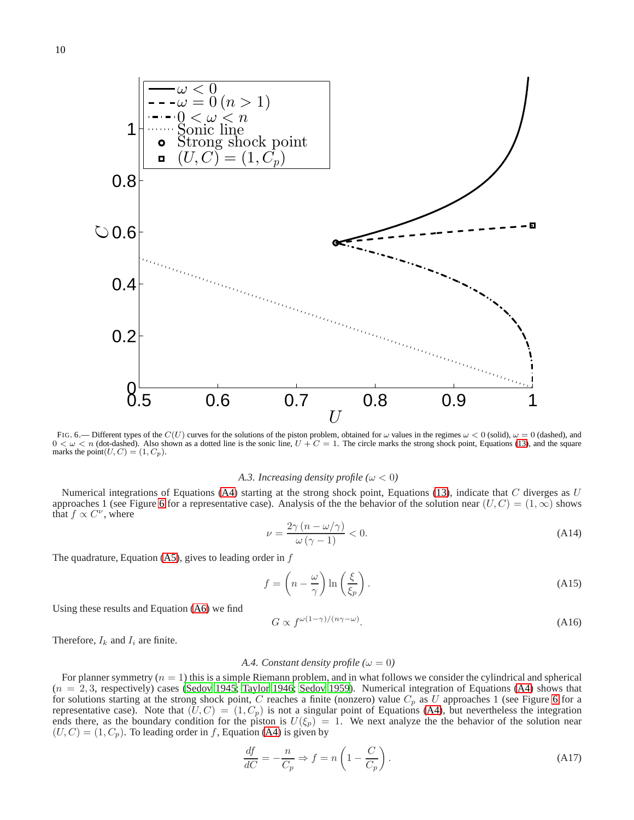

<span id="page-9-0"></span>FIG. 6.— Different types of the  $C(U)$  curves for the solutions of the piston problem, obtained for  $\omega$  values in the regimes  $\omega < 0$  (solid),  $\omega = 0$  (dashed), and  $0 < \omega < n$  (dot-dashed). Also shown as a dotted line is the sonic line,  $U + C = 1$ . The circle marks the strong shock point, Equations [\(13\)](#page-4-3), and the square marks the point $(U, C) = (1, C_p)$ .

### *A.3. Increasing density profile* ( $\omega$  < 0)

<span id="page-9-1"></span>Numerical integrations of Equations [\(A4\)](#page-7-3) starting at the strong shock point, Equations [\(13\)](#page-4-3), indicate that  $C$  diverges as  $U$ approaches 1 (see Figure [6](#page-9-0) for a representative case). Analysis of the the behavior of the solution near  $(U, C) = (1, \infty)$  shows that  $f \propto C^{\nu}$ , where

$$
\nu = \frac{2\gamma (n - \omega/\gamma)}{\omega (\gamma - 1)} < 0. \tag{A14}
$$

The quadrature, Equation [\(A5\)](#page-7-4), gives to leading order in  $f$ 

$$
f = \left(n - \frac{\omega}{\gamma}\right) \ln\left(\frac{\xi}{\xi_p}\right). \tag{A15}
$$

Using these results and Equation [\(A6\)](#page-7-5) we find

$$
G \propto f^{\omega(1-\gamma)/(n\gamma-\omega)}.\tag{A16}
$$

<span id="page-9-2"></span>Therefore,  $I_k$  and  $I_i$  are finite.

### *A.4. Constant density profile* ( $\omega = 0$ )

For planner symmetry  $(n = 1)$  this is a simple Riemann problem, and in what follows we consider the cylindrical and spherical  $(n = 2, 3,$  respectively) cases [\(Sedov 1945;](#page-13-11) [Taylor 1946;](#page-13-12) [Sedov 1959\)](#page-13-13). Numerical integration of Equations [\(A4\)](#page-7-3) shows that for solutions starting at the strong shock point, C reaches a finite (nonzero) value  $C_p$  as U approaches 1 (see Figure [6](#page-9-0) for a representative case). Note that  $(U, C) = (1, C_p)$  is not a singular point of Equations [\(A4\)](#page-7-3), but nevertheless the integration ends there, as the boundary condition for the piston is  $U(\xi_p) = 1$ . We next analyze the the behavior of the solution near  $(U, C) = (1, C_p)$ . To leading order in f, Equation [\(A4\)](#page-7-3) is given by

$$
\frac{df}{dC} = -\frac{n}{C_p} \Rightarrow f = n\left(1 - \frac{C}{C_p}\right). \tag{A17}
$$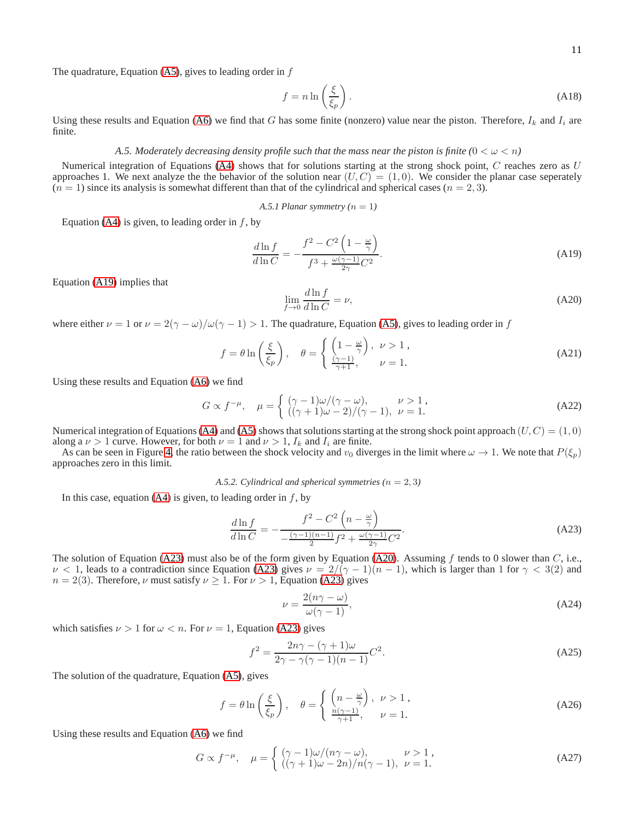The quadrature, Equation  $(A5)$ , gives to leading order in  $f$ 

$$
f = n \ln \left(\frac{\xi}{\xi_p}\right). \tag{A18}
$$

<span id="page-10-0"></span>Using these results and Equation [\(A6\)](#page-7-5) we find that G has some finite (nonzero) value near the piston. Therefore,  $I_k$  and  $I_i$  are finite.

## *A.5. Moderately decreasing density profile such that the mass near the piston is finite*  $(0 < \omega < n)$

Numerical integration of Equations [\(A4\)](#page-7-3) shows that for solutions starting at the strong shock point,  $C$  reaches zero as  $U$ approaches 1. We next analyze the the behavior of the solution near  $(U, C) = (1, 0)$ . We consider the planar case seperately  $(n = 1)$  since its analysis is somewhat different than that of the cylindrical and spherical cases  $(n = 2, 3)$ .

A.5.1 *Planar symmetry* 
$$
(n = 1)
$$

Equation [\(A4\)](#page-7-3) is given, to leading order in  $f$ , by

<span id="page-10-1"></span>
$$
\frac{d\ln f}{d\ln C} = -\frac{f^2 - C^2 \left(1 - \frac{\omega}{\gamma}\right)}{f^3 + \frac{\omega(\gamma - 1)}{2\gamma}C^2}.\tag{A19}
$$

Equation [\(A19\)](#page-10-1) implies that

<span id="page-10-3"></span>
$$
\lim_{f \to 0} \frac{d \ln f}{d \ln C} = \nu,\tag{A20}
$$

where either  $\nu = 1$  or  $\nu = 2(\gamma - \omega)/\omega(\gamma - 1) > 1$ . The quadrature, Equation [\(A5\)](#page-7-4), gives to leading order in f

$$
f = \theta \ln\left(\frac{\xi}{\xi_p}\right), \quad \theta = \begin{cases} \left(1 - \frac{\omega}{\gamma}\right), & \nu > 1, \\ \frac{\left(\gamma - 1\right)}{\gamma + 1}, & \nu = 1. \end{cases} \tag{A21}
$$

Using these results and Equation [\(A6\)](#page-7-5) we find

$$
G \propto f^{-\mu}, \quad \mu = \begin{cases} (\gamma - 1)\omega/(\gamma - \omega), & \nu > 1, \\ ((\gamma + 1)\omega - 2)/(\gamma - 1), & \nu = 1. \end{cases}
$$
 (A22)

Numerical integration of Equations [\(A4\)](#page-7-3) and [\(A5\)](#page-7-4) shows that solutions starting at the strong shock point approach  $(U, C) = (1, 0)$ along a  $\nu > 1$  curve. However, for both  $\nu = 1$  and  $\nu > 1$ ,  $I_k$  and  $I_i$  are finite.

As can be seen in Figure [4,](#page-6-1) the ratio between the shock velocity and  $v_0$  diverges in the limit where  $\omega \to 1$ . We note that  $P(\xi_p)$ approaches zero in this limit.

*A.5.2. Cylindrical and spherical symmetries* ( $n = 2, 3$ )

In this case, equation  $(A4)$  is given, to leading order in f, by

<span id="page-10-2"></span>
$$
\frac{d\ln f}{d\ln C} = -\frac{f^2 - C^2 \left(n - \frac{\omega}{\gamma}\right)}{-\frac{(\gamma - 1)(n - 1)}{2}f^2 + \frac{\omega(\gamma - 1)}{2\gamma}C^2}.
$$
\n(A23)

The solution of Equation [\(A23\)](#page-10-2) must also be of the form given by Equation [\(A20\)](#page-10-3). Assuming  $f$  tends to 0 slower than  $C$ , i.e.,  $\nu < 1$ , leads to a contradiction since Equation [\(A23\)](#page-10-2) gives  $\nu = 2/(\gamma - 1)(n - 1)$ , which is larger than 1 for  $\gamma < 3(2)$  and  $n = 2(3)$ . Therefore, *ν* must satisfy  $\nu \geq 1$ . For  $\nu > 1$ , Equation [\(A23\)](#page-10-2) gives

$$
\nu = \frac{2(n\gamma - \omega)}{\omega(\gamma - 1)},\tag{A24}
$$

which satisfies  $\nu > 1$  for  $\omega < n$ . For  $\nu = 1$ , Equation [\(A23\)](#page-10-2) gives

$$
f^{2} = \frac{2n\gamma - (\gamma + 1)\omega}{2\gamma - \gamma(\gamma - 1)(n - 1)}C^{2}.
$$
 (A25)

The solution of the quadrature, Equation [\(A5\)](#page-7-4), gives

$$
f = \theta \ln\left(\frac{\xi}{\xi_p}\right), \quad \theta = \begin{cases} \left(n - \frac{\omega}{\gamma}\right), & \nu > 1, \\ \frac{n(\gamma - 1)}{\gamma + 1}, & \nu = 1. \end{cases}
$$
 (A26)

Using these results and Equation [\(A6\)](#page-7-5) we find

<span id="page-10-4"></span>
$$
G \propto f^{-\mu}, \quad \mu = \begin{cases} (\gamma - 1)\omega/(n\gamma - \omega), & \nu > 1, \\ ((\gamma + 1)\omega - 2n)/n(\gamma - 1), & \nu = 1. \end{cases}
$$
(A27)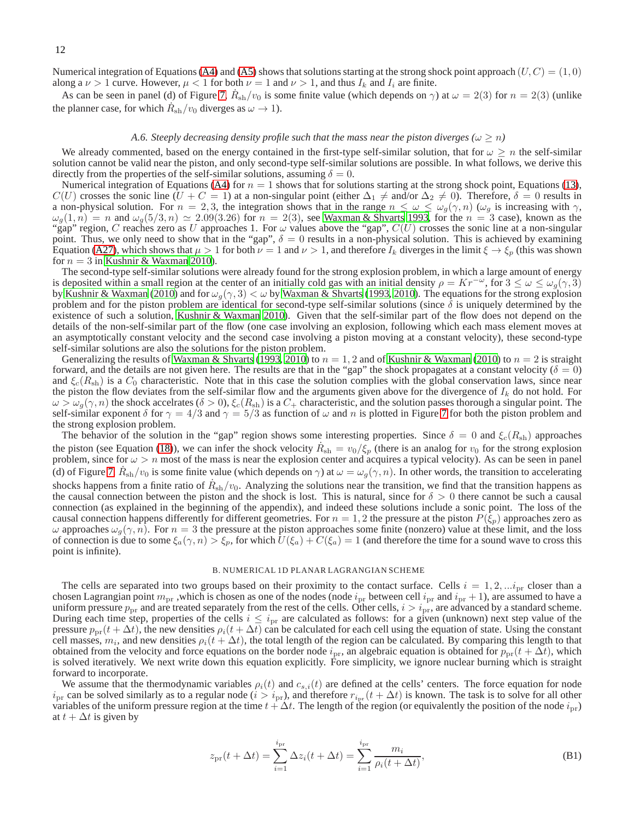Numerical integration of Equations [\(A4\)](#page-7-3) and [\(A5\)](#page-7-4) shows that solutions starting at the strong shock point approach  $(U, C) = (1, 0)$ along a  $\nu > 1$  curve. However,  $\mu < 1$  for both  $\nu = 1$  and  $\nu > 1$ , and thus  $I_k$  and  $I_i$  are finite.

As can be seen in panel (d) of Figure [7,](#page-12-0)  $\dot{R}_{sh}/v_0$  is some finite value (which depends on  $\gamma$ ) at  $\omega = 2(3)$  for  $n = 2(3)$  (unlike the planner case, for which  $\dot{R}_{\rm sh}/v_0$  diverges as  $\omega \to 1$ ).

## *A.6. Steeply decreasing density profile such that the mass near the piston diverges (* $\omega \ge n$ *)*

<span id="page-11-1"></span>We already commented, based on the energy contained in the first-type self-similar solution, that for  $\omega \geq n$  the self-similar solution cannot be valid near the piston, and only second-type self-similar solutions are possible. In what follows, we derive this directly from the properties of the self-similar solutions, assuming  $\delta = 0$ .

Numerical integration of Equations [\(A4\)](#page-7-3) for  $n = 1$  shows that for solutions starting at the strong shock point, Equations [\(13\)](#page-4-3),  $C(U)$  crosses the sonic line  $(U + C = 1)$  at a non-singular point (either  $\Delta_1 \neq$  and/or  $\Delta_2 \neq 0$ ). Therefore,  $\delta = 0$  results in a non-physical solution. For  $n = 2, 3$ , the integration shows that in the range  $n \leq \omega \leq \omega_g(\gamma, n)$  ( $\omega_g$  is increasing with  $\gamma$ ,  $\omega_g(1,n) = n$  and  $\omega_g(5/3,n) \simeq 2.09(3.26)$  for  $n = 2(3)$ , see [Waxman & Shvarts 1993,](#page-13-22) for the  $n = 3$  case), known as the "gap" region, C reaches zero as U approaches 1. For  $\omega$  values above the "gap",  $C(U)$  crosses the sonic line at a non-singular point. Thus, we only need to show that in the "gap",  $\delta = 0$  results in a non-physical solution. This is achieved by examining Equation [\(A27\)](#page-10-4), which shows that  $\mu > 1$  for both  $\nu = 1$  and  $\nu > 1$ , and therefore  $I_k$  diverges in the limit  $\xi \to \xi_p$  (this was shown for  $n = 3$  in [Kushnir & Waxman 2010](#page-13-24)).

The second-type self-similar solutions were already found for the strong explosion problem, in which a large amount of energy is deposited within a small region at the center of an initially cold gas with an initial density  $\rho = Kr^{-\omega}$ , for  $3 \le \omega \le \omega_q(\gamma, 3)$ by [Kushnir & Waxman](#page-13-24) [\(2010\)](#page-13-24) and for  $\omega_g(\gamma, 3) < \omega$  by [Waxman & Shvarts \(1993,](#page-13-22) [2010\)](#page-13-19). The equations for the strong explosion problem and for the piston problem are identical for second-type self-similar solutions (since  $\delta$  is uniquely determined by the existence of such a solution, [Kushnir & Waxman 2010\)](#page-13-24). Given that the self-similar part of the flow does not depend on the details of the non-self-similar part of the flow (one case involving an explosion, following which each mass element moves at an asymptotically constant velocity and the second case involving a piston moving at a constant velocity), these second-type self-similar solutions are also the solutions for the piston problem.

Generalizing the results of [Waxman & Shvarts](#page-13-22) [\(1993,](#page-13-22) [2010\)](#page-13-19) to  $n = 1, 2$  and of [Kushnir & Waxman](#page-13-24) [\(2010\)](#page-13-24) to  $n = 2$  is straight forward, and the details are not given here. The results are that in the "gap" the shock propagates at a constant velocity ( $\delta = 0$ ) and  $\xi_c(R_{\rm sh})$  is a  $C_0$  characteristic. Note that in this case the solution complies with the global conservation laws, since near the piston the flow deviates from the self-similar flow and the arguments given above for the divergence of  $I_k$  do not hold. For  $\omega > \omega_q(\gamma, n)$  the shock accelrates ( $\delta > 0$ ),  $\xi_c(R_{sh})$  is a  $C_+$  characteristic, and the solution passes thorough a singular point. The self-similar exponent  $\delta$  for  $\gamma = 4/3$  and  $\gamma = 5/3$  as function of  $\omega$  and n is plotted in Figure [7](#page-12-0) for both the piston problem and the strong explosion problem.

The behavior of the solution in the "gap" region shows some interesting properties. Since  $\delta = 0$  and  $\xi_c(R_{sh})$  approaches the piston (see Equation [\(18\)](#page-5-5)), we can infer the shock velocity  $\dot{R}_{sh} = v_0/\xi_p$  (there is an analog for  $v_0$  for the strong explosion problem, since for  $\omega > n$  most of the mass is near the explosion center and acquires a typical velocity). As can be seen in panel (d) of Figure [7,](#page-12-0)  $\dot{R}_{\rm sh}/v_0$  is some finite value (which depends on  $\gamma$ ) at  $\omega = \omega_g(\gamma, n)$ . In other words, the transition to accelerating shocks happens from a finite ratio of  $\dot{R}_{sh}/v_0$ . Analyzing the solutions near the transition, we find that the transition happens as the causal connection between the piston and the shock is lost. This is natural, since for  $\delta > 0$  there cannot be such a causal connection (as explained in the beginning of the appendix), and indeed these solutions include a sonic point. The loss of the causal connection happens differently for different geometries. For  $n = 1, 2$  the pressure at the piston  $P(\xi_p)$  approaches zero as ω approaches  $ω_g(γ, n)$ . For  $n = 3$  the pressure at the piston approaches some finite (nonzero) value at these limit, and the loss of connection is due to some  $\xi_a(\gamma, n) > \xi_p$ , for which  $U(\xi_a) + C(\xi_a) = 1$  (and therefore the time for a sound wave to cross this point is infinite).

### B. NUMERICAL 1D PLANAR LAGRANGIAN SCHEME

<span id="page-11-0"></span>The cells are separated into two groups based on their proximity to the contact surface. Cells  $i = 1, 2, \dots, i_{\text{pr}}$  closer than a chosen Lagrangian point  $m_{\text{pr}}$ , which is chosen as one of the nodes (node  $i_{\text{pr}}$  between cell  $i_{\text{pr}}$  and  $i_{\text{pr}}$  + 1), are assumed to have a uniform pressure  $p_{\text{pr}}$  and are treated separately from the rest of the cells. Other cells,  $i > i_{\text{pr}}$ , are advanced by a standard scheme. During each time step, properties of the cells  $i \leq i_{pr}$  are calculated as follows: for a given (unknown) next step value of the pressure  $p_{pr}(t + \Delta t)$ , the new densities  $\rho_i(t + \Delta t)$  can be calculated for each cell using the equation of state. Using the constant cell masses,  $m_i$ , and new densities  $\rho_i(t + \Delta t)$ , the total length of the region can be calculated. By comparing this length to that obtained from the velocity and force equations on the border node  $i_{pr}$ , an algebraic equation is obtained for  $p_{pr}(t + \Delta t)$ , which is solved iteratively. We next write down this equation explicitly. Fore simplicity, we ignore nuclear burning which is straight forward to incorporate.

We assume that the thermodynamic variables  $\rho_i(t)$  and  $c_{s,i}(t)$  are defined at the cells' centers. The force equation for node  $i_{pr}$  can be solved similarly as to a regular node ( $i > i_{pr}$ ), and therefore  $r_{i_{pr}}(t + \Delta t)$  is known. The task is to solve for all other variables of the uniform pressure region at the time  $t + \Delta t$ . The length of the region (or equivalently the position of the node  $i_{\text{pr}}$ ) at  $t + \Delta t$  is given by

$$
z_{\rm pr}(t + \Delta t) = \sum_{i=1}^{i_{\rm pr}} \Delta z_i(t + \Delta t) = \sum_{i=1}^{i_{\rm pr}} \frac{m_i}{\rho_i(t + \Delta t)},
$$
(B1)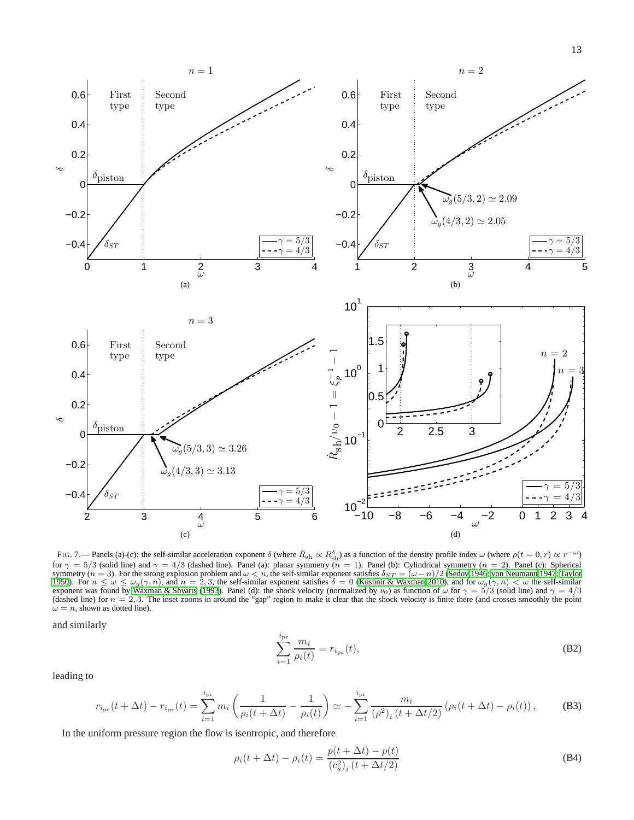

<span id="page-12-0"></span>FIG. 7.— Panels (a)-(c): the self-similar acceleration exponent  $\delta$  (where  $\dot{R}_{sh} \propto R_{sh}^{\delta}$ ) as a function of the density profile index  $\omega$  (where  $\rho(t = 0, r) \propto r^{-\omega}$ ) for  $\gamma = 5/3$  (solid line) and  $\gamma = 4/3$  (dashed line). Panel (a): planar symmetry ( $n = 1$ ). Panel (b): Cylindrical symmetry ( $n = 2$ ). Panel (c): Spherical symmetry (*n* = 3). For the strong explosion problem and  $\omega < n$ , the self-similar exponent satisfies  $\delta_{ST} = (\omega - n)/2$  [\(Sedov 1946;](#page-13-25) [von Neumann 1947](#page-13-26); [Taylor](#page-13-27) [1950\)](#page-13-27). For  $n \le \omega \le \omega_g(\gamma, n)$ , and  $n = 2, 3$ , the self-similar expon exponent was found by [Waxman & Shvarts \(1993](#page-13-22)). Panel (d): the shock velocity (normalized by  $v_0$ ) as function of  $\omega$  for  $\gamma = 5/3$  (solid line) and  $\gamma = 4/3$ (dashed line) for  $n = 2, 3$ . The inset zooms in around the "gap" region to make it clear that the shock velocity is finite there (and crosses smoothly the point  $\omega = n$ , shown as dotted line).

and similarly

$$
\sum_{i=1}^{i_{\rm pr}} \frac{m_i}{\rho_i(t)} = r_{i_{\rm pr}}(t),\tag{B2}
$$

leading to

<span id="page-12-1"></span>
$$
r_{i_{\text{pr}}}(t + \Delta t) - r_{i_{\text{pr}}}(t) = \sum_{i=1}^{i_{\text{pr}}} m_i \left( \frac{1}{\rho_i(t + \Delta t)} - \frac{1}{\rho_i(t)} \right) \simeq -\sum_{i=1}^{i_{\text{pr}}} \frac{m_i}{(\rho^2)_i (t + \Delta t/2)} \left( \rho_i(t + \Delta t) - \rho_i(t) \right),\tag{B3}
$$

In the uniform pressure region the flow is isentropic, and therefore

<span id="page-12-2"></span>
$$
\rho_i(t + \Delta t) - \rho_i(t) = \frac{p(t + \Delta t) - p(t)}{(c_s^2)_i (t + \Delta t/2)}
$$
(B4)